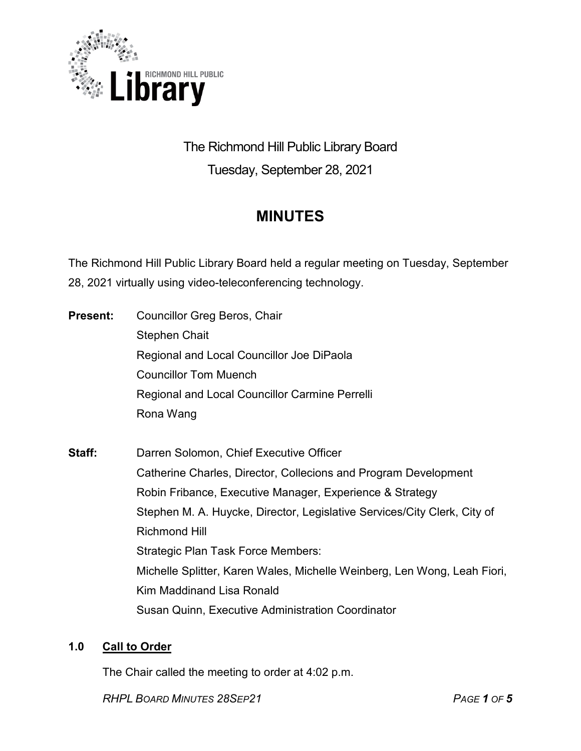

# The Richmond Hill Public Library Board Tuesday, September 28, 2021

# **MINUTES**

The Richmond Hill Public Library Board held a regular meeting on Tuesday, September 28, 2021 virtually using video-teleconferencing technology.

| <b>Present:</b> | Councillor Greg Beros, Chair                                             |
|-----------------|--------------------------------------------------------------------------|
|                 | <b>Stephen Chait</b>                                                     |
|                 | Regional and Local Councillor Joe DiPaola                                |
|                 | <b>Councillor Tom Muench</b>                                             |
|                 | Regional and Local Councillor Carmine Perrelli                           |
|                 | Rona Wang                                                                |
| Staff:          | Darren Solomon, Chief Executive Officer                                  |
|                 | Catherine Charles, Director, Collecions and Program Development          |
|                 | Robin Fribance, Executive Manager, Experience & Strategy                 |
|                 | Stephen M. A. Huycke, Director, Legislative Services/City Clerk, City of |
|                 | <b>Richmond Hill</b>                                                     |
|                 | Strategic Plan Task Force Members:                                       |
|                 | Michelle Splitter, Karen Wales, Michelle Weinberg, Len Wong, Leah Fiori, |
|                 | Kim Maddinand Lisa Ronald                                                |

Susan Quinn, Executive Administration Coordinator

# **1.0 Call to Order**

The Chair called the meeting to order at 4:02 p.m.

*RHPL BOARD MINUTES 28SEP21 PAGE 1 OF 5*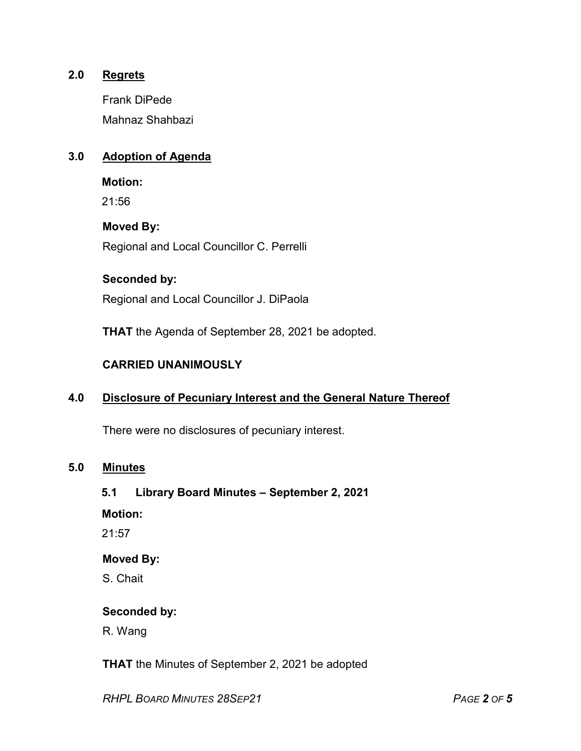## **2.0 Regrets**

Frank DiPede Mahnaz Shahbazi

## **3.0 Adoption of Agenda**

**Motion:**

21:56

#### **Moved By:**

Regional and Local Councillor C. Perrelli

#### **Seconded by:**

Regional and Local Councillor J. DiPaola

**THAT** the Agenda of September 28, 2021 be adopted.

#### **CARRIED UNANIMOUSLY**

## **4.0 Disclosure of Pecuniary Interest and the General Nature Thereof**

There were no disclosures of pecuniary interest.

#### **5.0 Minutes**

#### **5.1 Library Board Minutes – September 2, 2021**

**Motion:**

21:57

## **Moved By:**

S. Chait

#### **Seconded by:**

R. Wang

**THAT** the Minutes of September 2, 2021 be adopted

*RHPL BOARD MINUTES 28SEP21 PAGE 2 OF 5*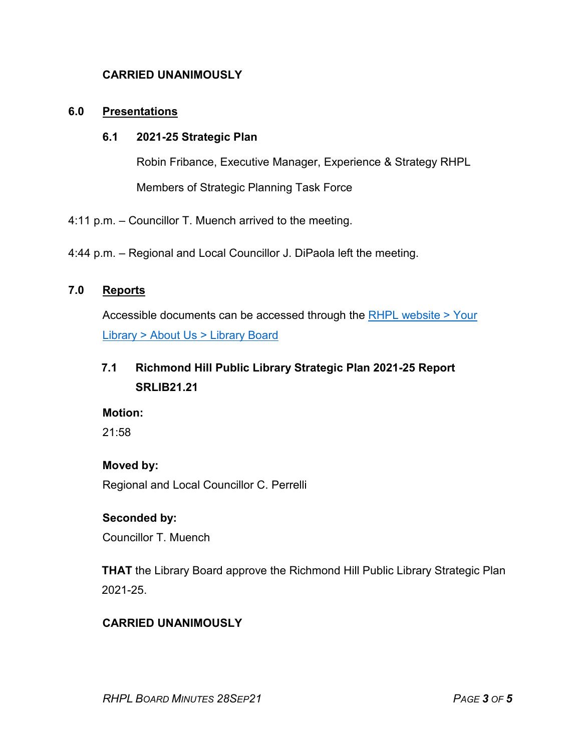## **CARRIED UNANIMOUSLY**

#### **6.0 Presentations**

#### **6.1 2021-25 Strategic Plan**

Robin Fribance, Executive Manager, Experience & Strategy RHPL Members of Strategic Planning Task Force

4:11 p.m. – Councillor T. Muench arrived to the meeting.

4:44 p.m. – Regional and Local Councillor J. DiPaola left the meeting.

## **7.0 Reports**

Accessible documents can be accessed through the [RHPL website > Your](https://www.rhpl.ca/your-library/about-us/library-board)  Library [> About Us > Library](https://www.rhpl.ca/your-library/about-us/library-board) Board

# **7.1 Richmond Hill Public Library Strategic Plan 2021-25 Report SRLIB21.21**

#### **Motion:**

21:58

#### **Moved by:**

Regional and Local Councillor C. Perrelli

## **Seconded by:**

Councillor T. Muench

**THAT** the Library Board approve the Richmond Hill Public Library Strategic Plan 2021-25.

## **CARRIED UNANIMOUSLY**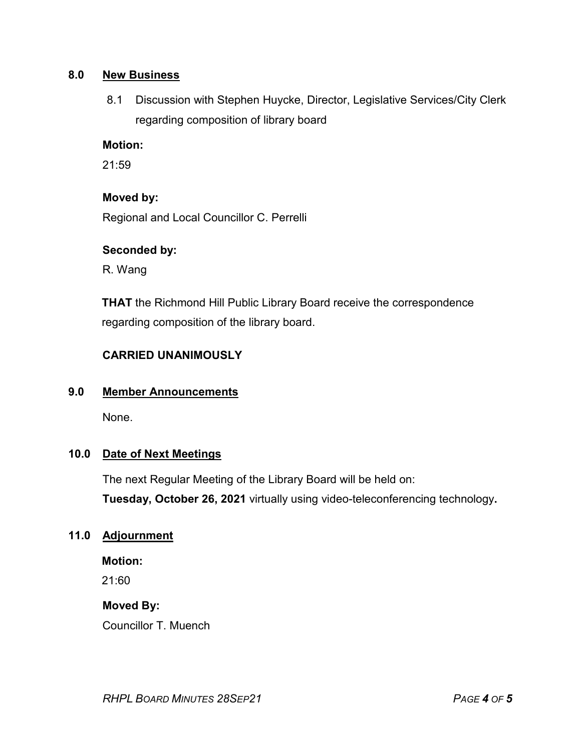## **8.0 New Business**

8.1 Discussion with Stephen Huycke, Director, Legislative Services/City Clerk regarding composition of library board

## **Motion:**

21:59

## **Moved by:**

Regional and Local Councillor C. Perrelli

## **Seconded by:**

R. Wang

**THAT** the Richmond Hill Public Library Board receive the correspondence regarding composition of the library board.

## **CARRIED UNANIMOUSLY**

#### **9.0 Member Announcements**

None.

## **10.0 Date of Next Meetings**

The next Regular Meeting of the Library Board will be held on: **Tuesday, October 26, 2021** virtually using video-teleconferencing technology**.**

## **11.0 Adjournment**

**Motion:**

21:60

#### **Moved By:**

Councillor T. Muench